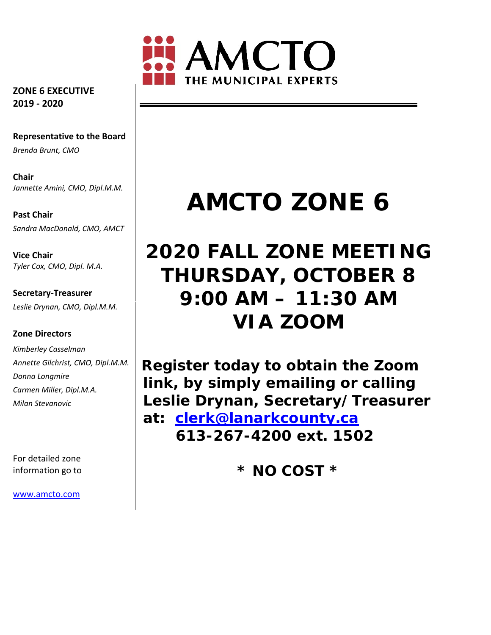

**ZONE 6 EXECUTIVE 2019 ‐ 2020**

**Representative to the Board** *Brenda Brunt, CMO*

**Chair** *Jannette Amini, CMO, Dipl.M.M.*

**Past Chair** *Sandra MacDonald, CMO, AMCT*

**Vice Chair** *Tyler Cox, CMO, Dipl. M.A.*

**Secretary‐Treasurer** *Leslie Drynan, CMO, Dipl.M.M.*

#### **Zone Directors**

*Kimberley Casselman Annette Gilchrist, CMO, Dipl.M.M. Donna Longmire Carmen Miller, Dipl.M.A. Milan Stevanovic*

For detailed zone information go to

www.amcto.com

# **AMCTO ZONE 6**

# **2020 FALL ZONE MEETING THURSDAY, OCTOBER 8 9:00 AM – 11:30 AM VIA ZOOM**

**Register today to obtain the Zoom link, by simply emailing or calling Leslie Drynan, Secretary/Treasurer at: clerk@lanarkcounty.ca 613-267-4200 ext. 1502** 

**\* NO COST \***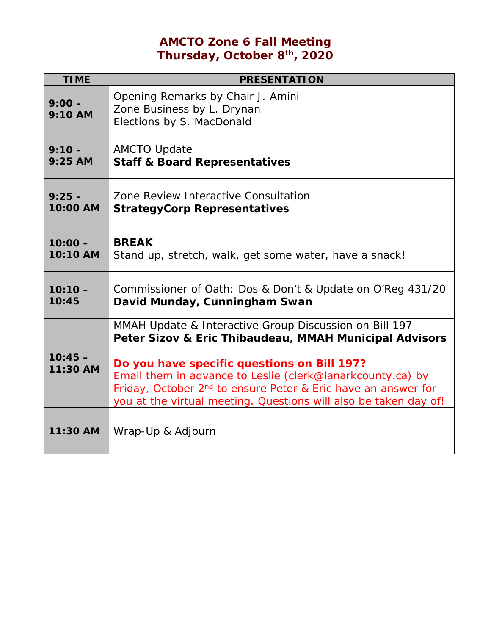# **AMCTO Zone 6 Fall Meeting Thursday, October 8th, 2020**

| <b>TIME</b>           | <b>PRESENTATION</b>                                                                                                                                                                                                                                                                                                                                                            |  |  |
|-----------------------|--------------------------------------------------------------------------------------------------------------------------------------------------------------------------------------------------------------------------------------------------------------------------------------------------------------------------------------------------------------------------------|--|--|
| $9:00 -$<br>$9:10$ AM | Opening Remarks by Chair J. Amini<br>Zone Business by L. Drynan<br>Elections by S. MacDonald                                                                                                                                                                                                                                                                                   |  |  |
| $9:10 -$              | <b>AMCTO Update</b>                                                                                                                                                                                                                                                                                                                                                            |  |  |
| $9:25$ AM             | <b>Staff &amp; Board Representatives</b>                                                                                                                                                                                                                                                                                                                                       |  |  |
| $9:25 -$              | Zone Review Interactive Consultation                                                                                                                                                                                                                                                                                                                                           |  |  |
| 10:00 AM              | <b>StrategyCorp Representatives</b>                                                                                                                                                                                                                                                                                                                                            |  |  |
| $10:00 -$             | <b>BREAK</b>                                                                                                                                                                                                                                                                                                                                                                   |  |  |
| 10:10 AM              | Stand up, stretch, walk, get some water, have a snack!                                                                                                                                                                                                                                                                                                                         |  |  |
| $10:10 -$             | Commissioner of Oath: Dos & Don't & Update on O'Reg 431/20                                                                                                                                                                                                                                                                                                                     |  |  |
| 10:45                 | David Munday, Cunningham Swan                                                                                                                                                                                                                                                                                                                                                  |  |  |
| $10:45 -$<br>11:30 AM | MMAH Update & Interactive Group Discussion on Bill 197<br>Peter Sizov & Eric Thibaudeau, MMAH Municipal Advisors<br>Do you have specific questions on Bill 197?<br>Email them in advance to Leslie (clerk@lanarkcounty.ca) by<br>Friday, October 2 <sup>nd</sup> to ensure Peter & Eric have an answer for<br>you at the virtual meeting. Questions will also be taken day of! |  |  |
| 11:30 AM              | Wrap-Up & Adjourn                                                                                                                                                                                                                                                                                                                                                              |  |  |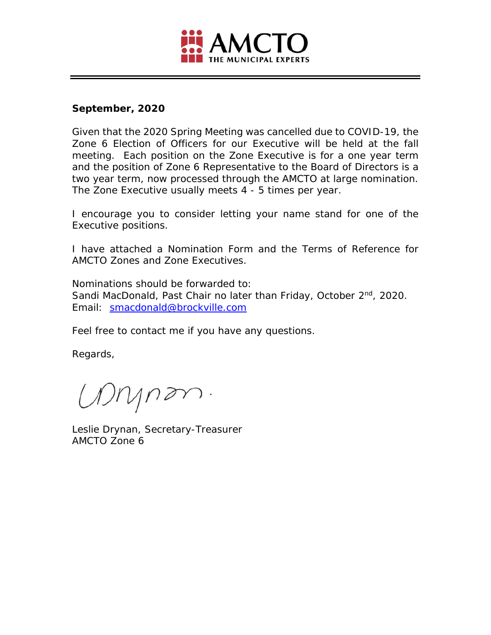

#### **September, 2020**

Given that the 2020 Spring Meeting was cancelled due to COVID-19, the Zone 6 Election of Officers for our Executive will be held at the fall meeting. Each position on the Zone Executive is for a one year term and the position of Zone 6 Representative to the Board of Directors is a two year term, now processed through the AMCTO at large nomination. The Zone Executive usually meets 4 - 5 times per year.

I encourage you to consider letting your name stand for one of the Executive positions.

I have attached a Nomination Form and the Terms of Reference for AMCTO Zones and Zone Executives.

Nominations should be forwarded to: Sandi MacDonald, Past Chair no later than Friday, October 2<sup>nd</sup>, 2020. Email: smacdonald@brockville.com

Feel free to contact me if you have any questions.

Regards,

Mynon.

Leslie Drynan, Secretary-Treasurer AMCTO Zone 6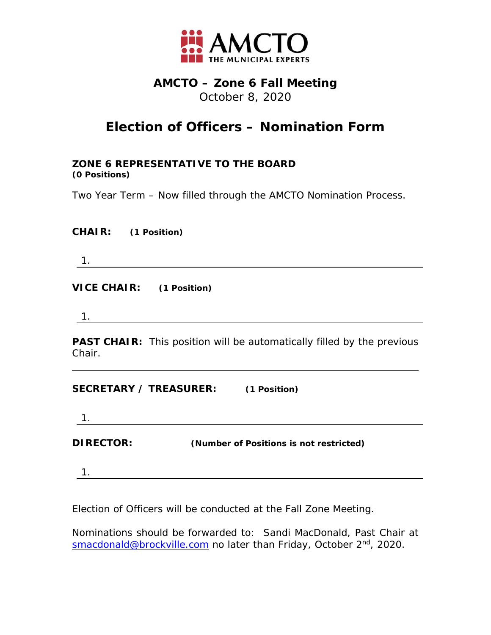

### **AMCTO – Zone 6 Fall Meeting**  October 8, 2020

# **Election of Officers – Nomination Form**

**ZONE 6 REPRESENTATIVE TO THE BOARD (0 Positions)** 

Two Year Term – Now filled through the AMCTO Nomination Process.

| <b>CHAIR:</b> | (1 Position) |
|---------------|--------------|
|---------------|--------------|

1.

**VICE CHAIR: (1 Position)**

1.

**PAST CHAIR:** This position will be automatically filled by the previous Chair.

**SECRETARY / TREASURER: (1 Position)**

1.

**DIRECTOR: (Number of Positions is not restricted)**

1.

Election of Officers will be conducted at the Fall Zone Meeting.

Nominations should be forwarded to: Sandi MacDonald, Past Chair at smacdonald@brockville.com no later than Friday, October 2<sup>nd</sup>, 2020.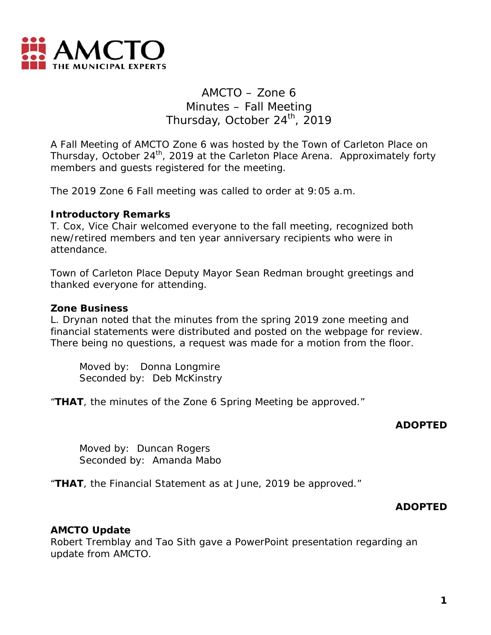

## AMCTO – Zone 6 Minutes – Fall Meeting Thursday, October 24<sup>th</sup>, 2019

A Fall Meeting of AMCTO Zone 6 was hosted by the Town of Carleton Place on Thursday, October 24<sup>th</sup>, 2019 at the Carleton Place Arena. Approximately forty members and guests registered for the meeting.

The 2019 Zone 6 Fall meeting was called to order at 9:05 a.m.

#### **Introductory Remarks**

T. Cox, Vice Chair welcomed everyone to the fall meeting, recognized both new/retired members and ten year anniversary recipients who were in attendance.

Town of Carleton Place Deputy Mayor Sean Redman brought greetings and thanked everyone for attending.

#### **Zone Business**

L. Drynan noted that the minutes from the spring 2019 zone meeting and financial statements were distributed and posted on the webpage for review. There being no questions, a request was made for a motion from the floor.

 Moved by: Donna Longmire Seconded by: Deb McKinstry

"**THAT**, the minutes of the Zone 6 Spring Meeting be approved."

#### **ADOPTED**

 Moved by: Duncan Rogers Seconded by: Amanda Mabo

"**THAT**, the Financial Statement as at June, 2019 be approved."

#### **ADOPTED**

#### **AMCTO Update**

Robert Tremblay and Tao Sith gave a PowerPoint presentation regarding an update from AMCTO.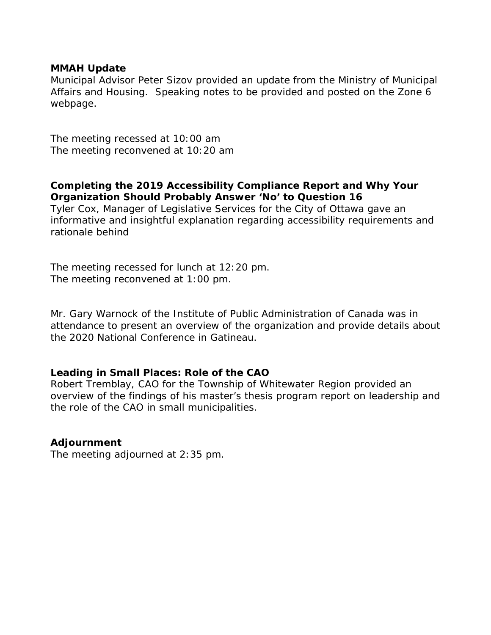#### **MMAH Update**

Municipal Advisor Peter Sizov provided an update from the Ministry of Municipal Affairs and Housing. Speaking notes to be provided and posted on the Zone 6 webpage.

The meeting recessed at 10:00 am The meeting reconvened at 10:20 am

**Completing the 2019 Accessibility Compliance Report and Why Your Organization Should Probably Answer 'No' to Question 16** 

Tyler Cox, Manager of Legislative Services for the City of Ottawa gave an informative and insightful explanation regarding accessibility requirements and rationale behind

The meeting recessed for lunch at 12:20 pm. The meeting reconvened at 1:00 pm.

Mr. Gary Warnock of the Institute of Public Administration of Canada was in attendance to present an overview of the organization and provide details about the 2020 National Conference in Gatineau.

#### **Leading in Small Places: Role of the CAO**

Robert Tremblay, CAO for the Township of Whitewater Region provided an overview of the findings of his master's thesis program report on leadership and the role of the CAO in small municipalities.

#### **Adjournment**

The meeting adjourned at 2:35 pm.